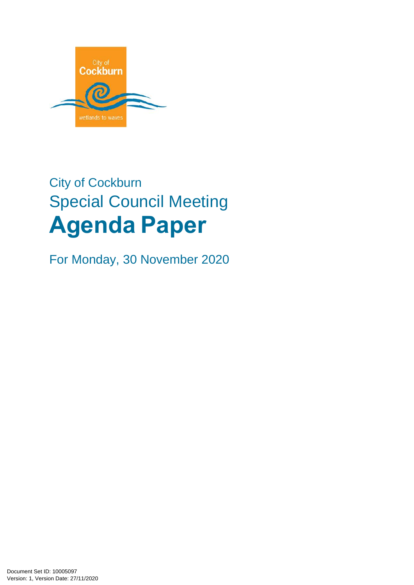

# City of Cockburn Special Council Meeting **Agenda Paper**

For Monday, 30 November 2020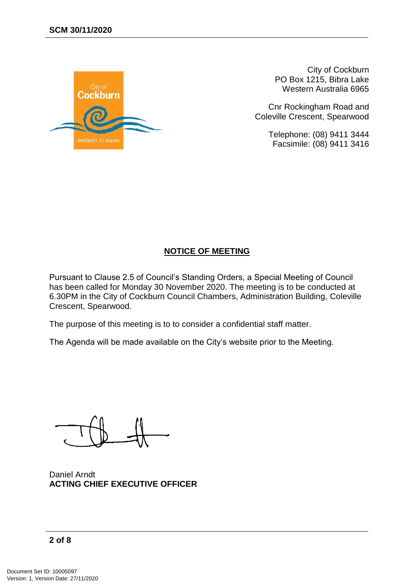

City of Cockburn PO Box 1215, Bibra Lake Western Australia 6965

Cnr Rockingham Road and Coleville Crescent, Spearwood

> Telephone: (08) 9411 3444 Facsimile: (08) 9411 3416

#### **NOTICE OF MEETING**

Pursuant to Clause 2.5 of Council's Standing Orders, a Special Meeting of Council has been called for Monday 30 November 2020. The meeting is to be conducted at 6.30PM in the City of Cockburn Council Chambers, Administration Building, Coleville Crescent, Spearwood.

The purpose of this meeting is to to consider a confidential staff matter.

The Agenda will be made available on the City's website prior to the Meeting.

Daniel Arndt **ACTING CHIEF EXECUTIVE OFFICER**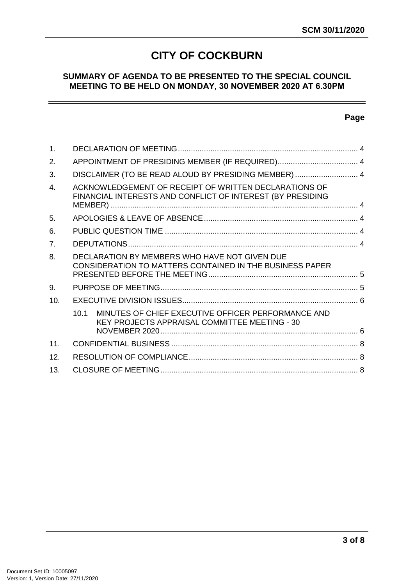# **CITY OF COCKBURN**

#### **SUMMARY OF AGENDA TO BE PRESENTED TO THE SPECIAL COUNCIL MEETING TO BE HELD ON MONDAY, 30 NOVEMBER 2020 AT 6.30PM**

#### **Page**

| $\mathbf 1$     |                                                                                                                     |  |
|-----------------|---------------------------------------------------------------------------------------------------------------------|--|
| 2.              | APPOINTMENT OF PRESIDING MEMBER (IF REQUIRED) 4                                                                     |  |
| 3.              | DISCLAIMER (TO BE READ ALOUD BY PRESIDING MEMBER)  4                                                                |  |
| $\overline{4}$  | ACKNOWLEDGEMENT OF RECEIPT OF WRITTEN DECLARATIONS OF<br>FINANCIAL INTERESTS AND CONFLICT OF INTEREST (BY PRESIDING |  |
| 5.              |                                                                                                                     |  |
| 6.              |                                                                                                                     |  |
| 7.              |                                                                                                                     |  |
| 8.              | DECLARATION BY MEMBERS WHO HAVE NOT GIVEN DUE<br><b>CONSIDERATION TO MATTERS CONTAINED IN THE BUSINESS PAPER</b>    |  |
| 9.              |                                                                                                                     |  |
| 10.             |                                                                                                                     |  |
|                 | MINUTES OF CHIEF EXECUTIVE OFFICER PERFORMANCE AND<br>10.1<br>KEY PROJECTS APPRAISAL COMMITTEE MEETING - 30         |  |
| 11 <sub>1</sub> |                                                                                                                     |  |
| 12 <sup>°</sup> |                                                                                                                     |  |
| 13 <sub>1</sub> |                                                                                                                     |  |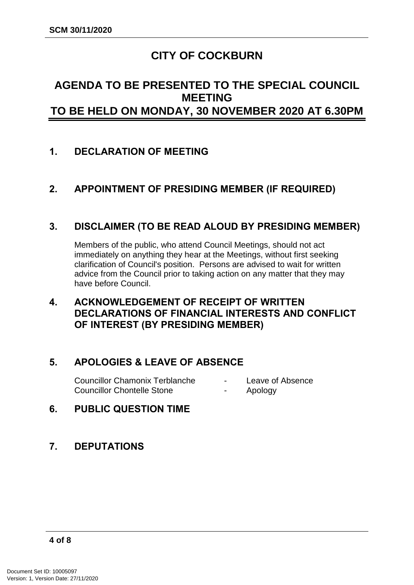# **CITY OF COCKBURN**

## **AGENDA TO BE PRESENTED TO THE SPECIAL COUNCIL MEETING TO BE HELD ON MONDAY, 30 NOVEMBER 2020 AT 6.30PM**

## <span id="page-3-0"></span>**1. DECLARATION OF MEETING**

## <span id="page-3-1"></span>**2. APPOINTMENT OF PRESIDING MEMBER (IF REQUIRED)**

## <span id="page-3-2"></span>**3. DISCLAIMER (TO BE READ ALOUD BY PRESIDING MEMBER)**

Members of the public, who attend Council Meetings, should not act immediately on anything they hear at the Meetings, without first seeking clarification of Council's position. Persons are advised to wait for written advice from the Council prior to taking action on any matter that they may have before Council.

## <span id="page-3-3"></span>**4. ACKNOWLEDGEMENT OF RECEIPT OF WRITTEN DECLARATIONS OF FINANCIAL INTERESTS AND CONFLICT OF INTEREST (BY PRESIDING MEMBER)**

## <span id="page-3-4"></span>**5. APOLOGIES & LEAVE OF ABSENCE**

Councillor Chamonix Terblanche - Leave of Absence Councillor Chontelle Stone - Apology

## <span id="page-3-5"></span>**6. PUBLIC QUESTION TIME**

## <span id="page-3-6"></span>**7. DEPUTATIONS**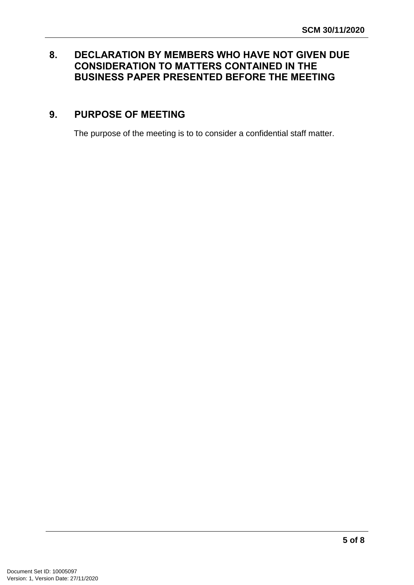## <span id="page-4-0"></span>**8. DECLARATION BY MEMBERS WHO HAVE NOT GIVEN DUE CONSIDERATION TO MATTERS CONTAINED IN THE BUSINESS PAPER PRESENTED BEFORE THE MEETING**

## <span id="page-4-1"></span>**9. PURPOSE OF MEETING**

The purpose of the meeting is to to consider a confidential staff matter.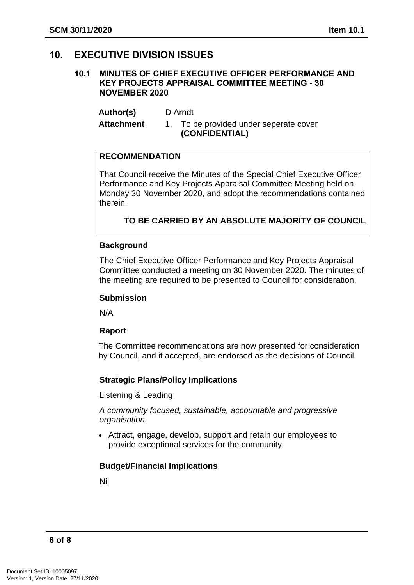## <span id="page-5-1"></span><span id="page-5-0"></span>**10. EXECUTIVE DIVISION ISSUES**

#### **10.1 MINUTES OF CHIEF EXECUTIVE OFFICER PERFORMANCE AND KEY PROJECTS APPRAISAL COMMITTEE MEETING - 30 NOVEMBER 2020**

**Author(s)** D Arndt Attachment 1. To be provided under seperate cover **(CONFIDENTIAL)** 

#### **RECOMMENDATION**

That Council receive the Minutes of the Special Chief Executive Officer Performance and Key Projects Appraisal Committee Meeting held on Monday 30 November 2020, and adopt the recommendations contained therein.

**TO BE CARRIED BY AN ABSOLUTE MAJORITY OF COUNCIL**

#### **Background**

The Chief Executive Officer Performance and Key Projects Appraisal Committee conducted a meeting on 30 November 2020. The minutes of the meeting are required to be presented to Council for consideration.

#### **Submission**

N/A

#### **Report**

The Committee recommendations are now presented for consideration by Council, and if accepted, are endorsed as the decisions of Council.

#### **Strategic Plans/Policy Implications**

#### Listening & Leading

*A community focused, sustainable, accountable and progressive organisation.*

 Attract, engage, develop, support and retain our employees to provide exceptional services for the community.

#### **Budget/Financial Implications**

Nil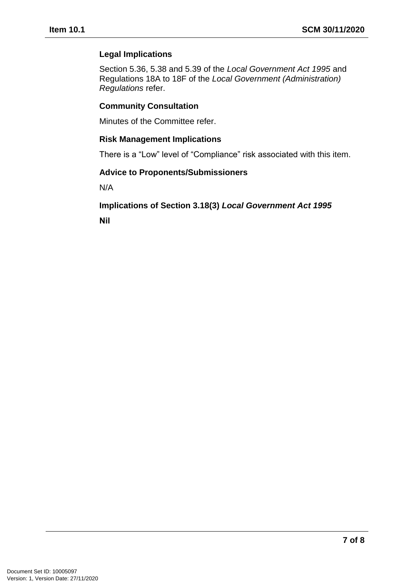#### **Legal Implications**

Section 5.36, 5.38 and 5.39 of the *Local Government Act 1995* and Regulations 18A to 18F of the *Local Government (Administration) Regulations* refer.

#### **Community Consultation**

Minutes of the Committee refer.

#### **Risk Management Implications**

There is a "Low" level of "Compliance" risk associated with this item.

#### **Advice to Proponents/Submissioners**

N/A

## **Implications of Section 3.18(3)** *Local Government Act 1995* **Nil**